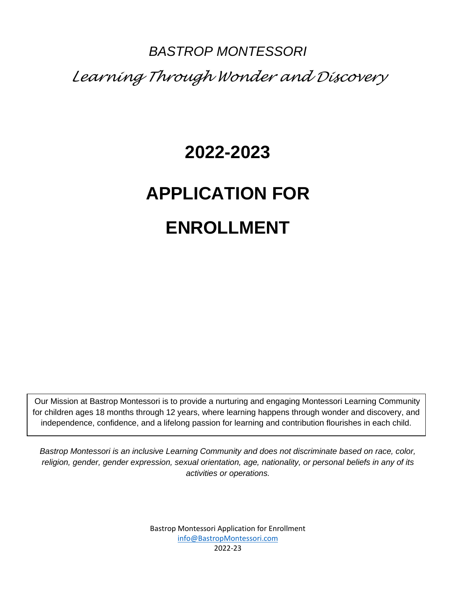## *BASTROP MONTESSORI Learning Through Wonder and Discovery*

## **2022-2023**

# **APPLICATION FOR ENROLLMENT**

Our Mission at Bastrop Montessori is to provide a nurturing and engaging Montessori Learning Community for children ages 18 months through 12 years, where learning happens through wonder and discovery, and independence, confidence, and a lifelong passion for learning and contribution flourishes in each child.

*Bastrop Montessori is an inclusive Learning Community and does not discriminate based on race, color, religion, gender, gender expression, sexual orientation, age, nationality, or personal beliefs in any of its activities or operations.*

> Bastrop Montessori Application for Enrollment [info@BastropMontessori.com](mailto:info@BastropMontessori.com) 2022-23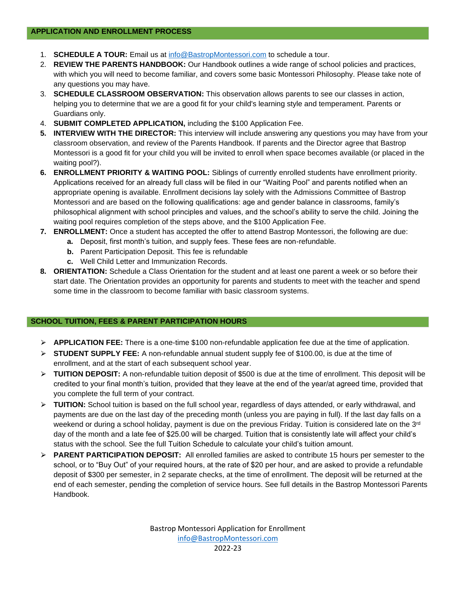- 1. **SCHEDULE A TOUR:** Email us at [info@BastropMontessori.com](mailto:info@BastropMontessori.com) to schedule a tour.
- 2. **REVIEW THE PARENTS HANDBOOK:** Our Handbook outlines a wide range of school policies and practices, with which you will need to become familiar, and covers some basic Montessori Philosophy. Please take note of any questions you may have.
- 3. **SCHEDULE CLASSROOM OBSERVATION:** This observation allows parents to see our classes in action, helping you to determine that we are a good fit for your child's learning style and temperament. Parents or Guardians only.
- 4. **SUBMIT COMPLETED APPLICATION,** including the \$100 Application Fee.
- **5. INTERVIEW WITH THE DIRECTOR:** This interview will include answering any questions you may have from your classroom observation, and review of the Parents Handbook. If parents and the Director agree that Bastrop Montessori is a good fit for your child you will be invited to enroll when space becomes available (or placed in the waiting pool?).
- **6. ENROLLMENT PRIORITY & WAITING POOL:** Siblings of currently enrolled students have enrollment priority. Applications received for an already full class will be filed in our "Waiting Pool" and parents notified when an appropriate opening is available. Enrollment decisions lay solely with the Admissions Committee of Bastrop Montessori and are based on the following qualifications: age and gender balance in classrooms, family's philosophical alignment with school principles and values, and the school's ability to serve the child. Joining the waiting pool requires completion of the steps above, and the \$100 Application Fee.
- **7. ENROLLMENT:** Once a student has accepted the offer to attend Bastrop Montessori, the following are due:
	- **a.** Deposit, first month's tuition, and supply fees. These fees are non-refundable.
		- **b.** Parent Participation Deposit. This fee is refundable
		- **c.** Well Child Letter and Immunization Records.
- **8. ORIENTATION:** Schedule a Class Orientation for the student and at least one parent a week or so before their start date. The Orientation provides an opportunity for parents and students to meet with the teacher and spend some time in the classroom to become familiar with basic classroom systems.

#### **SCHOOL TUITION, FEES & PARENT PARTICIPATION HOURS**

- ⮚ **APPLICATION FEE:** There is a one-time \$100 non-refundable application fee due at the time of application.
- ⮚ **STUDENT SUPPLY FEE:** A non-refundable annual student supply fee of \$100.00, is due at the time of enrollment, and at the start of each subsequent school year.
- ⮚ **TUITION DEPOSIT:** A non-refundable tuition deposit of \$500 is due at the time of enrollment. This deposit will be credited to your final month's tuition, provided that they leave at the end of the year/at agreed time, provided that you complete the full term of your contract.
- ⮚ **TUITION:** School tuition is based on the full school year, regardless of days attended, or early withdrawal, and payments are due on the last day of the preceding month (unless you are paying in full). If the last day falls on a weekend or during a school holiday, payment is due on the previous Friday. Tuition is considered late on the 3<sup>rd</sup> day of the month and a late fee of \$25.00 will be charged. Tuition that is consistently late will affect your child's status with the school. See the full Tuition Schedule to calculate your child's tuition amount.
- ⮚ **PARENT PARTICIPATION DEPOSIT:** All enrolled families are asked to contribute 15 hours per semester to the school, or to "Buy Out" of your required hours, at the rate of \$20 per hour, and are asked to provide a refundable deposit of \$300 per semester, in 2 separate checks, at the time of enrollment. The deposit will be returned at the end of each semester, pending the completion of service hours. See full details in the Bastrop Montessori Parents Handbook.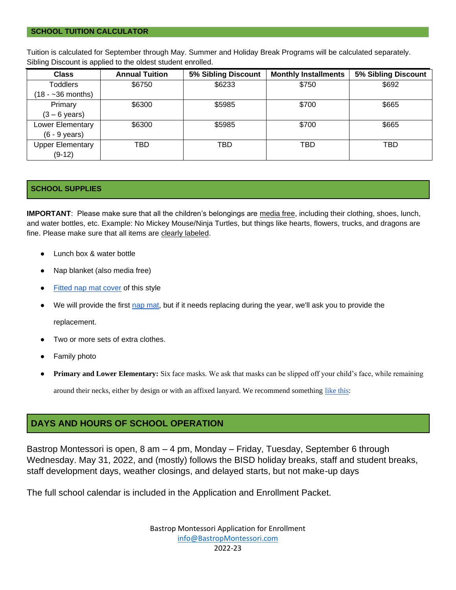Tuition is calculated for September through May. Summer and Holiday Break Programs will be calculated separately. Sibling Discount is applied to the oldest student enrolled.

| <b>Class</b>            | <b>Annual Tuition</b> | 5% Sibling Discount | <b>Monthly Installments</b> | 5% Sibling Discount |
|-------------------------|-----------------------|---------------------|-----------------------------|---------------------|
| <b>Toddlers</b>         | \$6750                | \$6233              | \$750                       | \$692               |
| $(18 - 36$ months)      |                       |                     |                             |                     |
| Primary                 | \$6300                | \$5985              | \$700                       | \$665               |
| $(3 - 6 \text{ years})$ |                       |                     |                             |                     |
| Lower Elementary        | \$6300                | \$5985              | \$700                       | \$665               |
| $(6 - 9$ years)         |                       |                     |                             |                     |
| <b>Upper Elementary</b> | TBD                   | TBD                 | TBD                         | TBD                 |
| $(9-12)$                |                       |                     |                             |                     |

#### **SCHOOL SUPPLIES**

**IMPORTANT**: Please make sure that all the children's belongings are media free, including their clothing, shoes, lunch, and water bottles, etc. Example: No Mickey Mouse/Ninja Turtles, but things like hearts, flowers, trucks, and dragons are fine. Please make sure that all items are clearly labeled.

- Lunch box & water bottle
- Nap blanket (also media free)
- [Fitted nap mat cover](https://www.amazon.com/KinderMat-Pillowcase-Daydreamer-Toddler-Tractors/dp/B00BCNUVMG/ref=sr_1_7?crid=33VCKEOAWTVVJ&dchild=1&keywords=nap+mat+cover&qid=1609294320&sprefix=napmat+cover%2Caps%2C207&sr=8-7) of this styl[e](about:blank)
- We will provide the first [nap mat,](https://www.amazon.com/Peerless-Plastics-Kindermat-Childhood-Accessory/dp/B072C3CXFZ/ref=sr_1_90?dchild=1&keywords=preschool+nap+mat&qid=1628787169&sr=8-90) but if it needs replacing during the year, we'll ask you to provide the replacement.

- Two or more sets of extra clothes.
- Family photo
- **Primary and Lower Elementary:** Six face masks. We ask that masks can be slipped off your child's face, while remaining

around their necks, either by design or with an affixed lanyard. We recommend something [like this:](https://smile.amazon.com/gp/product/B08GL13J7H/ref=ppx_yo_dt_b_asin_title_o02_s01?ie=UTF8&psc=1)

#### **DAYS AND HOURS OF SCHOOL OPERATION**

Bastrop Montessori is open, 8 am – 4 pm, Monday – Friday, Tuesday, September 6 through Wednesday. May 31, 2022, and (mostly) follows the BISD holiday breaks, staff and student breaks, staff development days, weather closings, and delayed starts, but not make-up days

The full school calendar is included in the Application and Enrollment Packet.

Bastrop Montessori Application for Enrollment [info@BastropMontessori.com](mailto:info@BastropMontessori.com) 2022-23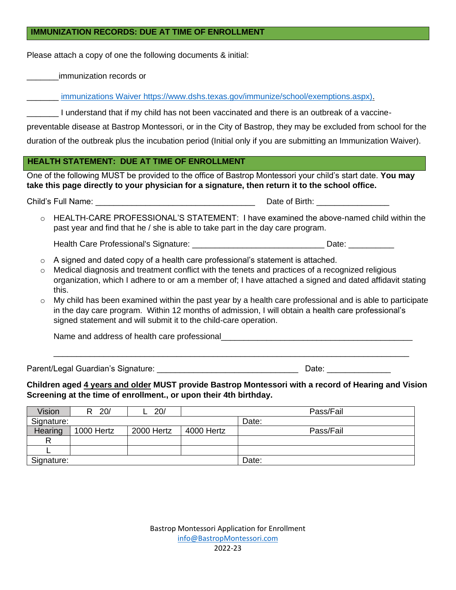#### **IMMUNIZATION RECORDS: DUE AT TIME OF ENROLLMENT**

Please attach a copy of one the following documents & initial:

\_\_\_\_\_\_\_immunization records or

\_\_\_\_\_\_\_ [immunizations Waiver](about:blank) [https://www.dshs.texas.gov/immunize/school/exemptions.aspx\).](https://www.dshs.texas.gov/immunize/school/exemptions.aspx))

\_\_\_\_\_\_\_ I understand that if my child has not been vaccinated and there is an outbreak of a vaccine-

preventable disease at Bastrop Montessori, or in the City of Bastrop, they may be excluded from school for the duration of the outbreak plus the incubation period (Initial only if you are submitting an Immunization Waiver).

#### **HEALTH STATEMENT: DUE AT TIME OF ENROLLMENT**

One of the following MUST be provided to the office of Bastrop Montessori your child's start date. **You may take this page directly to your physician for a signature, then return it to the school office.**

Child's Full Name:  $\Box$  Date of Birth:  $\Box$ 

HEALTH-CARE PROFESSIONAL'S STATEMENT: I have examined the above-named child within the past year and find that he / she is able to take part in the day care program.

Health Care Professional's Signature: \_\_\_\_\_\_\_\_\_\_\_\_\_\_\_\_\_\_\_\_\_\_\_\_\_\_\_\_\_ Date: \_\_\_\_\_\_\_\_\_\_

- o A signed and dated copy of a health care professional's statement is attached.
- o Medical diagnosis and treatment conflict with the tenets and practices of a recognized religious organization, which I adhere to or am a member of; I have attached a signed and dated affidavit stating this.
- $\circ$  My child has been examined within the past year by a health care professional and is able to participate in the day care program. Within 12 months of admission, I will obtain a health care professional's signed statement and will submit it to the child-care operation.

Name and address of health care professional

\_\_\_\_\_\_\_\_\_\_\_\_\_\_\_\_\_\_\_\_\_\_\_\_\_\_\_\_\_\_\_\_\_\_\_\_\_\_\_\_\_\_\_\_\_\_\_\_\_\_\_\_\_\_\_\_\_\_\_\_\_\_\_\_\_\_\_\_\_\_\_\_\_\_\_\_\_\_

Parent/Legal Guardian's Signature: etc. and the state of the Date: contract of the Date:

**Children aged 4 years and older MUST provide Bastrop Montessori with a record of Hearing and Vision Screening at the time of enrollment., or upon their 4th birthday.**

| Vision     | 20/        | 20/        | Pass/Fail  |           |
|------------|------------|------------|------------|-----------|
| Signature: |            |            |            | Date:     |
| Hearing    | 1000 Hertz | 2000 Hertz | 4000 Hertz | Pass/Fail |
|            |            |            |            |           |
|            |            |            |            |           |
| Signature: |            |            |            | Date:     |

| Bastrop Montessori Application for Enrollment |
|-----------------------------------------------|
| info@BastropMontessori.com                    |
| 2022-23                                       |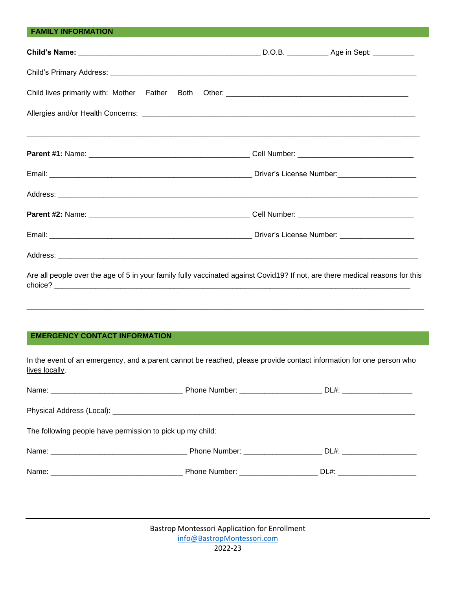## **FAMILY INFORMATION Child's Name:** \_\_\_\_\_\_\_\_\_\_\_\_\_\_\_\_\_\_\_\_\_\_\_\_\_\_\_\_\_\_\_\_\_\_\_\_\_\_\_\_\_\_\_\_ D.O.B. \_\_\_\_\_\_\_\_\_\_ Age in Sept: \_\_\_\_\_\_\_\_\_\_ Child's Primary Address: \_\_\_\_\_\_\_\_\_\_\_\_\_\_\_\_\_\_\_\_\_\_\_\_\_\_\_\_\_\_\_\_\_\_\_\_\_\_\_\_\_\_\_\_\_\_\_\_\_\_\_\_\_\_\_\_\_\_\_\_\_\_\_\_\_\_\_\_\_\_\_\_\_\_ Child lives primarily with: Mother Father Both Other: \_\_\_\_\_\_\_\_\_\_\_\_\_\_\_\_\_\_\_\_\_\_\_\_\_\_\_\_\_\_\_\_\_\_\_\_\_\_\_\_\_\_\_\_ Allergies and/or Health Concerns:\_\_\_\_\_\_\_\_\_\_\_\_\_\_\_\_\_\_\_\_\_\_\_\_\_\_\_\_\_\_\_\_\_\_\_\_\_\_\_\_\_\_\_\_\_\_\_\_\_\_\_\_\_\_\_\_\_\_\_\_\_\_\_\_\_\_ \_\_\_\_\_\_\_\_\_\_\_\_\_\_\_\_\_\_\_\_\_\_\_\_\_\_\_\_\_\_\_\_\_\_\_\_\_\_\_\_\_\_\_\_\_\_\_\_\_\_\_\_\_\_\_\_\_\_\_\_\_\_\_\_\_\_\_\_\_\_\_\_\_\_\_\_\_\_\_\_\_\_\_\_\_\_\_\_\_\_\_\_\_\_\_ **Parent #1:** Name: \_\_\_\_\_\_\_\_\_\_\_\_\_\_\_\_\_\_\_\_\_\_\_\_\_\_\_\_\_\_\_\_\_\_\_\_\_\_\_ Cell Number: \_\_\_\_\_\_\_\_\_\_\_\_\_\_\_\_\_\_\_\_\_\_\_\_\_\_\_\_ Email: \_\_\_\_\_\_\_\_\_\_\_\_\_\_\_\_\_\_\_\_\_\_\_\_\_\_\_\_\_\_\_\_\_\_\_\_\_\_\_\_\_\_\_\_\_\_\_\_\_ Driver's License Number:\_\_\_\_\_\_\_\_\_\_\_\_\_\_\_\_\_\_\_ Address: **and a set of the set of the set of the set of the set of the set of the set of the set of the set of the set of the set of the set of the set of the set of the set of the set of the set of the set of the set of t Parent #2:** Name: \_\_\_\_\_\_\_\_\_\_\_\_\_\_\_\_\_\_\_\_\_\_\_\_\_\_\_\_\_\_\_\_\_\_\_\_\_\_\_ Cell Number: \_\_\_\_\_\_\_\_\_\_\_\_\_\_\_\_\_\_\_\_\_\_\_\_\_\_\_\_ Email: \_\_\_\_\_\_\_\_\_\_\_\_\_\_\_\_\_\_\_\_\_\_\_\_\_\_\_\_\_\_\_\_\_\_\_\_\_\_\_\_\_\_\_\_\_\_\_\_\_ Driver's License Number: \_\_\_\_\_\_\_\_\_\_\_\_\_\_\_\_\_\_ Address: \_\_\_\_\_\_\_\_\_\_\_\_\_\_\_\_\_\_\_\_\_\_\_\_\_\_\_\_\_\_\_\_\_\_\_\_\_\_\_\_\_\_\_\_\_\_\_\_\_\_\_\_\_\_\_\_\_\_\_\_\_\_\_\_\_\_\_\_\_\_\_\_\_\_\_\_\_\_\_\_\_\_\_\_\_\_\_ Are all people over the age of 5 in your family fully vaccinated against Covid19? If not, are there medical reasons for this

choice?

\_\_\_\_\_\_\_\_\_\_\_\_\_\_\_\_\_\_\_\_\_\_\_\_\_\_\_\_\_\_\_\_\_\_\_\_\_\_\_\_\_\_\_\_\_\_\_\_\_\_\_\_\_\_\_\_\_\_\_\_\_\_\_\_\_\_\_\_\_\_\_\_\_\_\_\_\_\_\_\_\_\_\_\_\_\_\_\_\_\_\_\_\_\_\_\_

#### **EMERGENCY CONTACT INFORMATION**

In the event of an emergency, and a parent cannot be reached, please provide contact information for one person who lives locally.

|                                                           | Phone Number: _________________________ DL#: _____________________               |                                 |
|-----------------------------------------------------------|----------------------------------------------------------------------------------|---------------------------------|
|                                                           |                                                                                  |                                 |
| The following people have permission to pick up my child: |                                                                                  |                                 |
|                                                           | Phone Number: __________________________________ DL#: __________________________ |                                 |
|                                                           | Phone Number: _____________________                                              | DL#: __________________________ |

| Bastrop Montessori Application for Enrollment |
|-----------------------------------------------|
| info@BastropMontessori.com                    |
| 2022-23                                       |